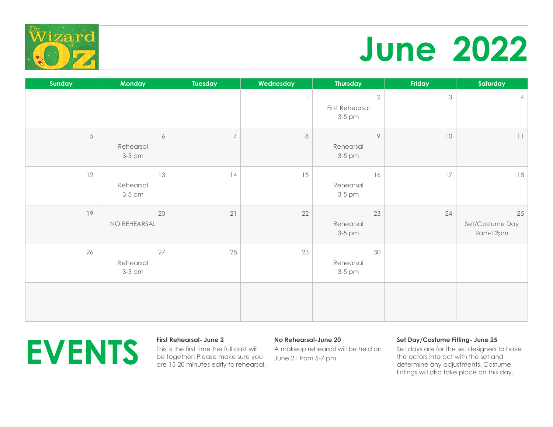

## **June 2022**

| Sunday     | <b>Monday</b>                           | Tuesday        | Wednesday | <b>Thursday</b>                                | Friday | Saturday                          |
|------------|-----------------------------------------|----------------|-----------|------------------------------------------------|--------|-----------------------------------|
|            |                                         |                |           | $\sqrt{2}$<br><b>First Rehearsal</b><br>3-5 pm | 3      | $\overline{4}$                    |
| $\sqrt{5}$ | $\boldsymbol{6}$<br>Rehearsal<br>3-5 pm | $\overline{7}$ | $\,8\,$   | $\circ$<br>Rehearsal<br>3-5 pm                 | 10     | 11                                |
| 12         | 13<br>Rehearsal<br>3-5 pm               | 14             | 15        | 16<br>Rehearsal<br>3-5 pm                      | 17     | 18                                |
| 19         | 20<br>NO REHEARSAL                      | 21             | 22        | 23<br>Rehearsal<br>3-5 pm                      | 24     | 25<br>Set/Costume Day<br>9am-12pm |
| 26         | 27<br>Rehearsal<br>3-5 pm               | 28             | 23        | 30<br>Rehearsal<br>3-5 pm                      |        |                                   |
|            |                                         |                |           |                                                |        |                                   |



This is the first time the full cast will be together! Please make sure you are 15-20 minutes early to rehearsal.

## **No Rehearsal-June 20**

A makeup rehearsal will be held on June 21 from 5-7 pm

## **Set Day/Costume Fitting- June 25**

Set days are for the set designers to have the actors interact with the set and determine any adjustments. Costume Fittings will also take place on this day.